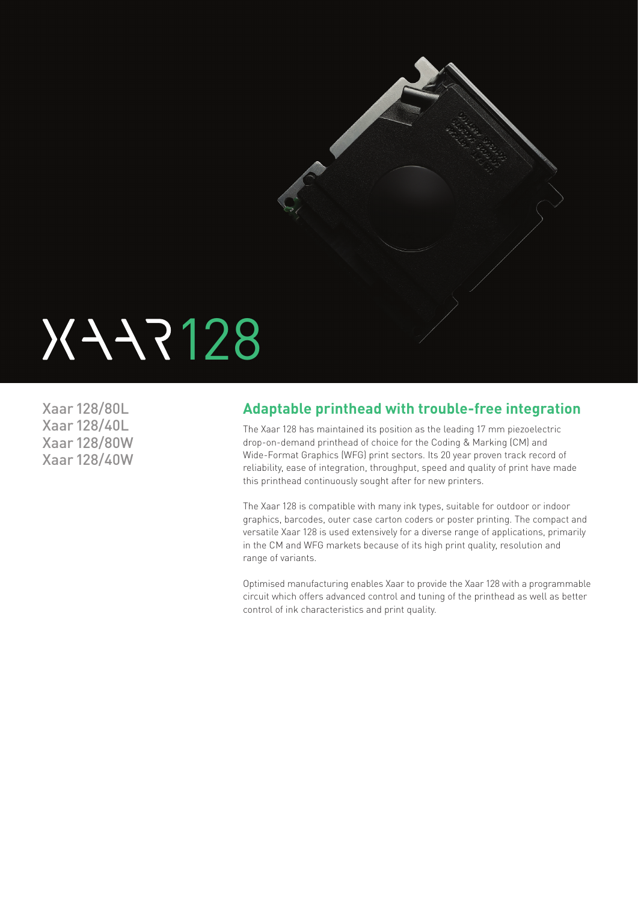

# XXX7128

Xaar 128/80L Xaar 128/40L Xaar 128/80W Xaar 128/40W

## **Adaptable printhead with trouble-free integration**

The Xaar 128 has maintained its position as the leading 17 mm piezoelectric drop-on-demand printhead of choice for the Coding & Marking (CM) and Wide-Format Graphics (WFG) print sectors. Its 20 year proven track record of reliability, ease of integration, throughput, speed and quality of print have made this printhead continuously sought after for new printers.

The Xaar 128 is compatible with many ink types, suitable for outdoor or indoor graphics, barcodes, outer case carton coders or poster printing. The compact and versatile Xaar 128 is used extensively for a diverse range of applications, primarily in the CM and WFG markets because of its high print quality, resolution and range of variants.

Optimised manufacturing enables Xaar to provide the Xaar 128 with a programmable circuit which offers advanced control and tuning of the printhead as well as better control of ink characteristics and print quality.